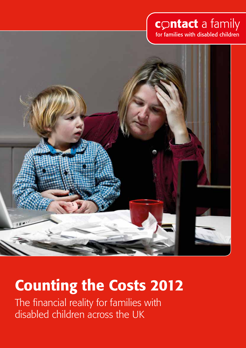# contact a family

for families with disabled children



# Counting the Costs 2012

The financial reality for families with disabled children across the UK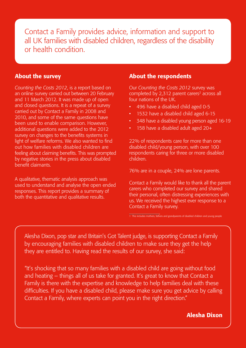Contact a Family provides advice, information and support to all UK families with disabled children, regardless of the disability or health condition.

## About the survey

*Counting the Costs 2012*, is a report based on an online survey carried out between 20 February and 11 March 2012. It was made up of open and closed questions. It is a repeat of a survey carried out by Contact a Family in 2008 and 2010, and some of the same questions have been used to enable comparison. However, additional questions were added to the 2012 survey on changes to the benefits systems in light of welfare reforms. We also wanted to find out how families with disabled children are feeling about claiming benefits. This was prompted by negative stories in the press about disabled benefit claimants.

A qualitative, thematic analysis approach was used to understand and analyse the open ended responses. This report provides a summary of both the quantitative and qualitative results.

# About the respondents

Our *Counting the Costs 2012* survey was completed by 2.312 parent carers<sup>2</sup> across all four nations of the UK.

- 496 have a disabled child aged 0-5
- 1532 have a disabled child aged 6-15
- • 348 have a disabled young person aged 16-19
- 158 have a disabled adult aged 20+

22% of respondents care for more than one disabled child/young person, with over 100 respondents caring for three or more disabled children.

76% are in a couple, 24% are lone parents.

Contact a Family would like to thank all the parent carers who completed our survey and shared their personal, often distressing experiences with us. We received the highest ever response to a Contact a Family survey.

1 This includes mothers, fathers and grandparents of disabled children and young people

Alesha Dixon, pop star and Britain's Got Talent judge, is supporting Contact a Family by encouraging families with disabled children to make sure they get the help they are entitled to. Having read the results of our survey, she said:

"It's shocking that so many families with a disabled child are going without food and heating – things all of us take for granted. It's great to know that Contact a Family is there with the expertise and knowledge to help families deal with these difficulties. If you have a disabled child, please make sure you get advice by calling Contact a Family, where experts can point you in the right direction."

Alesha Dixon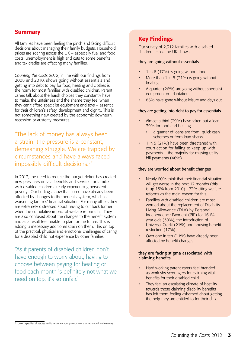# **Summary**

All families have been feeling the pinch and facing difficult decisions about managing their family budgets. Household prices are soaring across the UK – especially fuel and food costs, unemployment is high and cuts to some benefits and tax credits are affecting many families.

*Counting the Costs 2012*, in line with our findings from 2008 and 2010, shows going without essentials and getting into debt to pay for food, heating and clothes is the norm for most families with disabled children. Parent carers talk about the harsh choices they constantly have to make, the unfairness and the shame they feel when they can't afford specialist equipment and toys – essential for their children's safety, development and dignity. This is not something new created by the economic downturn, recession or austerity measures.

"The lack of money has always been a strain; the pressure is a constant, demeaning struggle. We are trapped by circumstances and have always faced impossibly difficult decisions.<sup>2"</sup>

In 2012, the need to reduce the budget deficit has created new pressures on vital benefits and services for families with disabled children already experiencing persistent poverty. Our findings show that some have already been affected by changes to the benefits system, which is worsening families' financial situation. For many others they are extremely distressed about having to cut back further when the cumulative impact of welfare reforms hit. They are also confused about the changes to the benefit system and as a result feel unable to plan for the future. This is adding unnecessary additional strain on them. This on top of the practical, physical and emotional challenges of caring for a disabled child not experience by other families.

"As if parents of disabled children don't have enough to worry about, having to choose between paying for heating or food each month is definitely not what we need on top, it's so unfair."

# Key Findings

Our survey of 2,312 families with disabled children across the UK shows:

#### they are going without essentials

- 1 in 6 (17%) is going without food.
- More than 1 in 5  $(21%)$  is going without heating.
- A quarter  $(26%)$  are going without specialist equipment or adaptations.
- 86% have gone without leisure and days out.

#### they are getting into debt to pay for essentials

- Almost a third (29%) have taken out a loan -39% for food and heating
	- a quarter of loans are from quick cash schemes or from loan sharks.
- 1 in 5 (21%) have been threatened with court action for failing to keep up with payments – the majority for missing utility bill payments (46%).

#### they are worried about benefit changes

- Nearly 60% think that their financial situation will get worse in the next 12 months (this is up 15% from 2010) - 73% citing welfare reforms as the main reason for this.
- Families with disabled children are most worried about the replacement of Disability Living Allowance (DLA) by Personal Independence Payment (PIP) for 16-64 year olds (50%), the introduction of Universal Credit (21%) and housing benefit restriction (17%).
- Over one in ten (11%) have already been affected by benefit changes.

#### they are facing stigma associated with claiming benefits

- Hard working parent carers feel branded as work-shy scroungers for claiming vital benefits for their disabled child.
- They feel an escalating climate of hostility towards those claiming disability benefits has left them feeling ashamed about getting the help they are entitled to for their child.

<sup>2</sup> Unless specified all quotes in this report are from parent carers that responded to the survey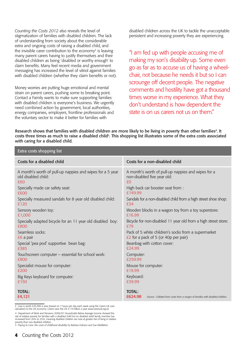*Counting the Costs 2012* also reveals the level of stigmatization of families with disabled children. The lack of understanding from society about the considerable extra and ongoing costs of raising a disabled child, and the invisible carer contribution to the economy<sup>3</sup> is leaving many parent carers having to justify themselves and their disabled children as being 'disabled or worthy enough' to claim benefits. Many feel recent media and government messaging has increased the level of vitriol against families with disabled children (whether they claim benefits or not).

Money worries are putting huge emotional and mental strain on parent carers, pushing some to breaking point. Contact a Family wants to make sure supporting families with disabled children is everyone's business. We urgently need combined action by government, local authorities, energy companies, employers, frontline professionals and the voluntary sector to make it better for families with

disabled children across the UK to tackle the unacceptable persistent and increasing poverty they are experiencing.

"I am fed up with people accusing me of making my son's disability up. Some even go as far as to accuse us of having a wheelchair, not because he needs it but so I can scrounge off decent people. The negative comments and hostility have got a thousand times worse in my experience. What they don't understand is how dependent the state is on us carers not us on them."

Research shows that families with disabled children are more likely to be living in poverty than other families<sup>4</sup>. It costs three times as much to raise a disabled child<sup>5</sup>. This shopping list illustrates some of the extra costs associated with caring for a disabled child.

| Extra costs shopping list                                  |                                                                                                           |  |
|------------------------------------------------------------|-----------------------------------------------------------------------------------------------------------|--|
| Costs for a disabled child                                 | Costs for a non-disabled child                                                                            |  |
| A month's worth of pull-up nappies and wipes for a 5 year  | A month's worth of pull-up nappies and wipes for a                                                        |  |
| old disabled child:                                        | non-disabled five year old:                                                                               |  |
| £60                                                        | £0                                                                                                        |  |
| Specially made car safety seat:                            | High back car booster seat from :                                                                         |  |
| £600                                                       | £149.99                                                                                                   |  |
| Specially measured sandals for 8 year old disabled child:  | Sandals for a non-disabled child from a high street shoe shop:                                            |  |
| £120                                                       | £34                                                                                                       |  |
| Sensory wooden toy:                                        | Wooden blocks in a wagon toy from a toy superstore:                                                       |  |
| £1,000                                                     | £16.99                                                                                                    |  |
| Specially adapted bicycle for an 11 year old disabled boy: | Bicycle for non-disabled 11 year old from a high street store:                                            |  |
| £800                                                       | £79                                                                                                       |  |
| Seamless socks:                                            | Pack of 5 white children's socks from a supermarket                                                       |  |
| £6 a pair                                                  | £2 for a pack of 5 (or 40p per pair)                                                                      |  |
| Special 'pea pod' supportive bean bag:                     | Beanbag with cotton cover:                                                                                |  |
| £385                                                       | £24.99                                                                                                    |  |
| Touchscreen computer - essential for school work:          | Computer:                                                                                                 |  |
| £800                                                       | £259.99                                                                                                   |  |
| Specialist mouse for computer:                             | Mouse for computer:                                                                                       |  |
| £200                                                       | £19.99                                                                                                    |  |
| Big Keys keyboard for computer:                            | Keyboard:                                                                                                 |  |
| £150                                                       | £39.99                                                                                                    |  |
| <b>TOTAL:</b><br>£4,121                                    | <b>TOTAL:</b><br>£624.98<br>Source: Collated from costs from a ranges of families with disabled children. |  |

3 Care is worth £45,990 a year (based on 7 hours per day each week using the Carers UK care calculator) to the UK economy. Carers save the UK £119 billion a year www.carersuk.org.uk

4 Department of Work and Pensions 2006/07. Households Below Average Income showed the risk of relative poverty for families with a disabled child but no disabled adult family member has increased from 20% to 25%, meaning disabled children are now at greater risk of living in relative

poverty than non-disabled children. 5 *Paying to Care: the costs of childhood disability* by Barbara Dobson and Sue Middleton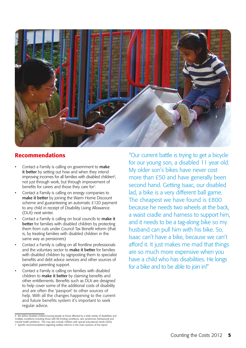

# **Recommendations**

- Contact a Family is calling on government to make it better by setting out how and when they intend improving incomes for all families with disabled children<sup>6</sup>, not just through work, but through improvement of benefits for carers and those they care for<sup>7</sup>.
- Contact a Family is calling on energy companies to make it better by joining the Warm Home Discount scheme and guaranteeing an automatic £120 payment to any child in receipt of Disability Living Allowance (DLA) next winter.
- Contact a Family is calling on local councils to make it better for families with disabled children by protecting them from cuts under Council Tax Benefit reform (that is, by treating families with disabled children in the same way as pensioners)
- Contact a Family is calling on all frontline professionals and the voluntary sector to make it better for families with disabled children by signposting them to specialist benefits and debt advice services and other sources of specialist parenting support.
- Contact a Family is calling on families with disabled children to make it better by claiming benefits and other entitlements. Benefits such as DLA are designed to help cover some of the additional costs of disability and are often the 'passport' to other sources of help. With all the changes happening to the current and future benefits system it's important to seek regular advice.

"Our current battle is trying to get a bicycle for our young son, a disabled 11 year old. My older son's bikes have never cost more than £50 and have generally been second hand. Getting Isaac, our disabled lad, a bike is a very different ball game. The cheapest we have found is £800 because he needs two wheels at the back, a waist cradle and harness to support him, and it needs to be a tag-along bike so my husband can pull him with his bike. So, Isaac can't have a bike, because we can't afford it. It just makes me mad that things are so much more expensive when you have a child who has disabilities. He longs for a bike and to be able to join in!"

<sup>6</sup> We define disabled children/young people as those affected by a wide variety of disabilities and multiple conditions including those with life limiting conditions, rare syndromes, behavioural and multiple conditions including those with life limiting conditions, rare syndromes, behavioural and mental health problems. This may also include children with special educational needs (SEN). 7 Specific recommendations regarding welfare reforms in the main sections of the report.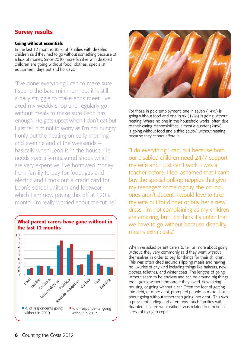# Survey results

#### Going without essentials

In the last 12 months, 82% of families with disabled children said they had to go without something because of a lack of money. Since 2010, more families with disabled children are going without food, clothes, specialist equipment, days out and holidays.

"I've done everything I can to make sure I spend the bare minimum but it is still a daily struggle to make ends meet. I've axed my weekly shop and regularly go without meals to make sure Leon has enough. He gets upset when I don't eat but I just tell him not to worry as I'm not hungry. I only put the heating on early morning and evening and at the weekends – basically when Leon is in the house. He needs specially-measured shoes which are very expensive. I've borrowed money from family to pay for food, gas and electric and I took out a credit card for Leon's school uniform and footwear, which I am now paying this off at £20 a month. I'm really worried about the future."





For those in paid employment, one in seven (14%) is going without food and one in six (17%) is going without heating. Where no one in the household works, often due to their caring responsibilities, almost a quarter (24%) is going without food and a third (32%) without heating because they cannot afford it.

"I do everything I can, but because both our disabled children need 24/7 support my wife and I just can't work. I was a teacher before. I feel ashamed that I can't buy the special pull-up nappies that give my teenagers some dignity, the council ones aren't decent. I would love to take my wife out for dinner or buy her a new dress. I'm not complaining as my children are amazing, but I do think it's unfair that we have to go without because disability means extra costs"

When we asked parent carers to tell us more about going without, they very commonly said they went without themselves in order to pay for things for their children. This was often cited around skipping meals and having no luxuries of any kind including things like haircuts, new clothes, toiletries, and winter coats. The lengths of going without seem to be endless and can be around big things too – going without the career they loved, downsizing housing, or going without a car. Often the fear of getting into debt, or more debt, prompted people to make choices about going without rather than going into debt. This was a prevalent finding and often how much families with disabled children went without was related to emotional stress of trying to cope.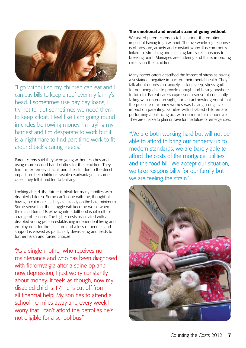

"I go without so my children can eat and I can pay bills to keep a roof over my family's head. I sometimes use pay day loans, I try not to, but sometimes we need them to keep afloat. I feel like I am going round in circles borrowing money. I'm trying my hardest and I'm desperate to work but it is a nightmare to find part-time work to fit around Jack's caring needs."

Parent carers said they were going without clothes and using more second-hand clothes for their children. They find this extremely difficult and stressful due to the direct impact on their children's visible disadvantage. In some cases they felt it had led to bullying.

Looking ahead, the future is bleak for many families with disabled children. Some can't cope with the, thought of having to cut more, as they are already on the bare minimum. Some sense that the struggle will become worse when their child turns 16. Moving into adulthood is difficult for a range of reasons. The higher costs associated with a disabled young person establishing independent living and employment for the first time and a loss of benefits and support is viewed as particularly devastating and leads to further harsh and forced choices.

"As a single mother who receives no maintenance and who has been diagnosed with fibromyalgia after a spine op and now depression, I just worry constantly about money. It feels as though, now my disabled child is 17, he is cut off from all financial help. My son has to attend a school 10 miles away and every week I worry that I can't afford the petrol as he's not eligible for a school bus."

#### The emotional and mental strain of going without

We asked parent carers to tell us about the emotional impact of having to go without. The overwhelming response is of pressure, anxiety and constant worry. It is commonly linked to stretching and straining family relationships to breaking point. Marriages are suffering and this is impacting directly on their children.

Many parent carers described the impact of stress as having a sustained, negative impact on their mental health. They talk about depression, anxiety, lack of sleep, stress, guilt for not being able to provide enough and having nowhere to turn to. Parent carers expressed a sense of constantly failing with no end in sight, and an acknowledgement that the pressure of money worries was having a negative impact on parenting. Families with disabled children are performing a balancing act, with no room for manoeuvre. They are unable to plan or save for the future or emergencies.

"We are both working hard but will not be able to afford to bring our property up to modern standards, we are barely able to afford the costs of the mortgage, utilities and the food bill. We accept our situation, we take responsibility for our family but we are feeling the strain."

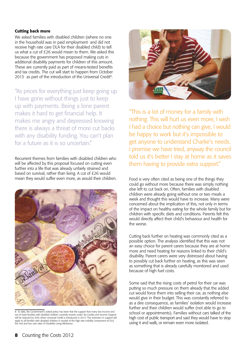#### Cutting back more

We asked families with disabled children (where no one in the household was in paid employment and did not receive high rate care DLA for their disabled child) to tell us what a cut of £26 would mean to them. We asked this because the government has proposed making cuts in additional disability payments for children of this amount. These are currently paid as part of means-tested benefits and tax credits. The cut will start to happen from October 2013 as part of the introduction of the Universal Credit<sup>8</sup>.

"As prices for everything just keep going up I have gone without things just to keep up with payments. Being a lone parent makes it hard to get financial help. It makes me angry and depressed knowing there is always a threat of more cut backs with any disability funding. You can't plan for a future as it is so uncertain."

Recurrent themes from families with disabled children who will be affected by this proposal focused on cutting even further into a life that was already unfairly strained and based on survival, rather than living. A cut of £26 would mean they would suffer even more, as would their children.



8 To date, the Government's stated policy has been that the support that many low income and out of work families with disabled children currently receive under Tax Credits and Income Support will be reduced by 50% when Universal Credit is introduced in 2013. This reduction in support will apply to all families with disabled children in receipt of the high rate mobility component of DLA, the mid and low care rates of Disability Living Allowance.



"This is a lot of money for a family with nothing. This will hurt us even more, I wish I had a choice but nothing can give, I would be happy to work but it's impossible to get anyone to understand Charlie's needs. I promise we have tried, anyway the council told us it's better I stay at home as it saves them having to provide extra support."

Food is very often cited as being one of the things they could go without more because there was simply nothing else left to cut back on. Often, families with disabled children were already going without one or two meals a week and thought this would have to increase. Many were concerned about the implication of this, not only in terms of the impact on healthy eating for the whole family but for children with specific diets and conditions. Parents felt this would directly affect their child's behaviour and health for the worse.

Cutting back further on heating was commonly cited as a possible option. The analysis identified that this was not an easy choice for parent carers because they are at home more and need heating for reasons linked to their child's disability. Parent carers were very distressed about having to possibly cut back further on heating, as this was seen as something that is already carefully monitored and used because of high fuel costs.

Some said that the rising costs of petrol for their car was putting so much pressure on them already that the added cut would force them into selling their car, as nothing else would give in their budget. This was constantly referred to as a dire consequence, as families' isolation would increase further and their children would suffer (not able to go to school or appointments). Families without cars talked of the high cost of public transport and said they would have to stop using it and walk, or remain even more isolated.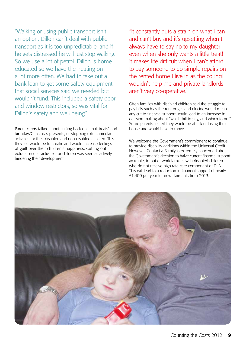"Walking or using public transport isn't an option. Dillon can't deal with public transport as it is too unpredictable, and if he gets distressed he will just stop walking. So we use a lot of petrol. Dillon is home educated so we have the heating on a lot more often. We had to take out a bank loan to get some safety equipment that social services said we needed but wouldn't fund. This included a safety door and window restrictors, so was vital for Dillon's safety and well being."

Parent carers talked about cutting back on 'small treats', and birthday/Christmas presents, or stopping extracurricular activities for their disabled and non-disabled children. This they felt would be traumatic and would increase feelings of guilt over their children's happiness. Cutting out extracurricular activities for children was seen as actively hindering their development.

"It constantly puts a strain on what I can and can't buy and it's upsetting when I always have to say no to my daughter even when she only wants a little treat! It makes life difficult when I can't afford to pay someone to do simple repairs on the rented home I live in as the council wouldn't help me and private landlords aren't very co-operative."

Often families with disabled children said the struggle to pay bills such as the rent or gas and electric would mean any cut to financial support would lead to an increase in decision-making about "which bill to pay, and which to not". Some parents feared they would be at risk of losing their house and would have to move.

We welcome the Government's commitment to continue to provide disability additions within the Universal Credit. However, Contact a Family is extremely concerned about the Government's decision to halve current financial support available, to out of work families with disabled children who do not receive high rate care component of DLA. This will lead to a reduction in financial support of nearly £1,400 per year for new claimants from 2013.

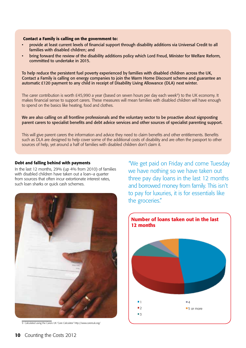#### Contact a Family is calling on the government to:

- provide at least current levels of financial support through disability additions via Universal Credit to all families with disabled children; and
- bring forward the review of the disability additions policy which Lord Freud, Minister for Welfare Reform, committed to undertake in 2015.

To help reduce the persistent fuel poverty experienced by families with disabled children across the UK, Contact a Family is calling on energy companies to join the Warm Home Discount scheme and guarantee an automatic £120 payment to any child in receipt of Disability Living Allowance (DLA) next winter.

The carer contribution is worth £45,990 a year (based on seven hours per day each week<sup>9</sup>) to the UK economy. It makes financial sense to support carers. These measures will mean families with disabled children will have enough to spend on the basics like heating, food and clothes.

We are also calling on all frontline professionals and the voluntary sector to be proactive about signposting parent carers to specialist benefits and debt advice services and other sources of specialist parenting support.

This will give parent carers the information and advice they need to claim benefits and other entitlements. Benefits such as DLA are designed to help cover some of the additional costs of disability and are often the passport to other sources of help, yet around a half of families with disabled children don't claim it.

#### Debt and falling behind with payments

In the last 12 months, 29% (up 4% from 2010) of families with disabled children have taken out a loan–a quarter from sources that often incur extortionate interest rates, such loan sharks or quick cash schemes.



9 Calculated using the Carers UK 'Care Calculator' http://www.carersuk.org/

"We get paid on Friday and come Tuesday we have nothing so we have taken out three pay day loans in the last 12 months and borrowed money from family. This isn't to pay for luxuries, it is for essentials like the groceries."

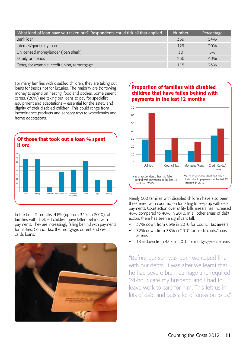| What kind of loan have you taken out?' Respondents could tick all that applied | <b>Number</b> | Percentage |
|--------------------------------------------------------------------------------|---------------|------------|
| Bank loan                                                                      | 339           | 54%        |
| Internet/quick/pay loan                                                        | 129           | 20%        |
| Unlicensed moneylender (loan shark)                                            | 30            | $5\%$      |
| Family or friends                                                              | 250           | 40%        |
| Other, for example, credit union, remortgage                                   | 115           | 23%        |

For many families with disabled children, they are taking out loans for basics not for luxuries. The majority are borrowing money to spend on heating, food and clothes. Some parent carers, (26%) are taking out loans to pay for specialist equipment and adaptations – essential for the safety and dignity of their disabled children. This could range from incontinence products and sensory toys to wheelchairs and home adaptations.



In the last 12 months, 41% (up from 34% in 2010), of families with disabled children have fallen behind with payments. They are increasingly falling behind with payments for utilities, Council Tax, the mortgage, or rent and credit cards loans.







Nearly 500 families with disabled children have also been threatened with court action for failing to keep up with debt payments. Court action over utility bills arrears has increased 46% compared to 40% in 2010. In all other areas of debt action, there has seen a significant fall. arly 500 families with

- ü 37% down from 65% in 2010 for Council Tax arrears
- $\checkmark$  32% down from 38% in 2010 for credit cards/loans arrears
- $\checkmark$  18% down from 43% in 2010 for mortgage/rent arrears.

"Before our son was born we coped fine with our debts. It was after we learnt that he had severe brain damage and required 24-hour care my husband and I had to leave work to care for him. This left us in lots of debt and puts a lot of stress on to us."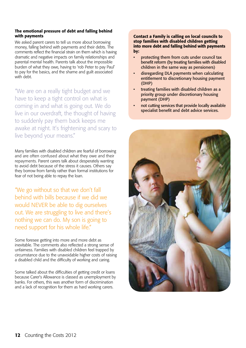#### The emotional pressure of debt and falling behind with payments

We asked parent carers to tell us more about borrowing money, falling behind with payments and their debts. The comments reflect the financial strain on them which is having dramatic and negative impacts on family relationships and parental mental health. Parents talk about the impossible burden of what they owe, having to 'rob Peter to pay Paul' to pay for the basics, and the shame and guilt associated with debt.

"We are on a really tight budget and we have to keep a tight control on what is coming in and what is going out. We do live in our overdraft, the thought of having to suddenly pay them back keeps me awake at night. It's frightening and scary to live beyond your means."

Many families with disabled children are fearful of borrowing and are often confused about what they owe and their repayments. Parent carers talk about desperately wanting to avoid debt because of the stress it causes. Others say they borrow from family rather than formal institutions for fear of not being able to repay the loan.

"We go without so that we don't fall behind with bills because if we did we would NEVER be able to dig ourselves out. We are struggling to live and there's nothing we can do. My son is going to need support for his whole life."

Some foresee getting into more and more debt as inevitable. The comments also reflected a strong sense of unfairness. Families with disabled children feel trapped by circumstance due to the unavoidable higher costs of raising a disabled child and the difficulty of working and caring.

Some talked about the difficulties of getting credit or loans because Carer's Allowance is classed as unemployment by banks. For others, this was another form of discrimination and a lack of recognition for them as hard working carers.

#### Contact a Family is calling on local councils to stop families with disabled children getting into more debt and falling behind with payments by:

- protecting them from cuts under council tax benefit reform (by treating families with disabled children in the same way as pensioners)
- disregarding DLA payments when calculating entitlement to discretionary housing payment (DHP)
- treating families with disabled children as a priority group under discretionary housing payment (DHP)
- not cutting services that provide locally available specialist benefit and debt advice services.

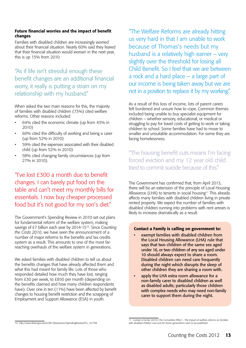#### Future financial worries and the impact of benefit changes

Families with disabled children are increasingly worried about their financial situation. Nearly 60% said they feared that their financial situation would worsen in the next year, this is up 15% from 2010.

# "As if life isn't stressful enough these benefit changes are an additional financial worry, it really is putting a strain on my relationship with my husband."

When asked the two main reasons for this, the majority of families with disabled children (73%) cited welfare reforms. Other reasons included:

- 64% cited the economic climate (up from 43% in 2010)
- 60% cited the difficulty of working and being a carer (up from 52% in 2010)
- 59% cited the expenses associated with their disabled child (up from 52% in 2010)
- 58% cited changing family circumstances (up from 27% in 2010).

"I've lost £300 a month due to benefit changes. I can barely put food on the table and can't meet my monthly bills for essentials. I now buy cheaper processed food but it's not good for my son's diet."

The Government's Spending Review in 2010 set out plans for fundamental reform of the welfare system, making savings of £7 billion each year by 2014-1510. Since *Counting the Costs 2010*, we have seen the announcement of a number of major reforms to the benefits and tax credits system as a result. This amounts to one of the most farreaching overhauls of the welfare system in generations.

We asked families with disabled children to tell us about the benefits changes that have already affected them and what this had meant for family life. Lots of those who responded detailed how much they have lost, ranging from £30 per week, to £850 per month (depending on the benefits claimed and how many children respondents have). Over one in ten (11%) have been affected by benefit changes to housing benefit restriction and the scrapping of Employment and Support Allowance (ESA) in youth.

"The Welfare Reforms are already hitting us very hard in that I am unable to work because of Thomas's needs but my husband is a relatively high earner – very slightly over the threshold for losing all Child Benefit. So I feel that we are between a rock and a hard place – a large part of our income is being taken away but we are not in a position to replace it by my working."

As a result of this loss of income, lots of parent carers felt burdened and unsure how to cope. Common themes included being unable to buy specialist equipment for children – whether sensory, educational, or medical or struggling to pay for travel costs of getting to work or taking children to school. Some families have had to move to smaller and unsuitable accommodation. For some they are facing homelessness.

"The housing benefit cuts means I'm facing forced eviction and my 12 year old child tried to commit suicide because of this."

The Government has confirmed that, from April 2013, there will be an extension of the principle of Local Housing Allowance (LHA) to tenants in social housing<sup>11</sup> This already affects many families with disabled children living in private rented property. We expect the number of families with disabled children running into problems with rent arrears is likely to increase dramatically as a result.

#### Contact a Family is calling on government to:

- exempt families with disabled children from the Local Housing Allowance (LHA) rule that says that two children of the same sex aged under 16, or two children of any sex aged under 10 should always expect to share a room. Disabled children can need care frequently during the night which disrupts the sleep of other children they are sharing a room with.
- apply the LHA extra room allowance for a non-family carer to disabled children as well as disabled adults; particularly those children with complex needs who may need non-family carer to support them during the night.

<sup>10</sup> http://www.direct.gov.uk/en/Nl1/Newsroom/SpendingReview/DG\_191799

<sup>11</sup> Contact a Family (2012) *The Cumulative Effect* – *The impact of welfare reforms on families with disabled children now and for future generations* soon to be published.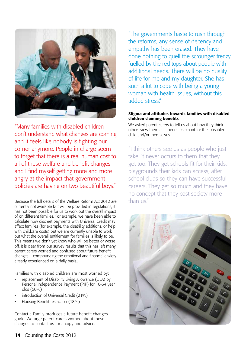

"Many families with disabled children don't understand what changes are coming and it feels like nobody is fighting our corner anymore. People in charge seem to forget that there is a real human cost to all of these welfare and benefit changes and I find myself getting more and more angry at the impact that government policies are having on two beautiful boys."

Because the full details of the Welfare Reform Act 2012 are currently not available but will be provided in regulations, it has not been possible for us to work out the overall impact of on different families. For example, we have been able to calculate how discreet payments with Universal Credit may affect families (for example, the disability additions, or help with childcare costs) but we are currently unable to work out what the overall entitlement for families is likely to be. This means we don't yet know who will be better or worse off. It is clear from our survey results that this has left many parent carers worried and confused about future benefit changes – compounding the emotional and financial anxiety already experienced on a daily basis..

Families with disabled children are most worried by:

- replacement of Disability Living Allowance (DLA) by Personal Independence Payment (PIP) for 16-64 year olds (50%)
- introduction of Universal Credit (21%)
- Housing Benefit restriction (18%)

Contact a Family produces a future benefit changes guide. We urge parent carers worried about these changes to contact us for a copy and advice.

"The governments haste to rush through the reforms, any sense of decency and empathy has been erased. They have done nothing to quell the scrounger frenzy fuelled by the red tops about people with additional needs. There will be no quality of life for me and my daughter. She has such a lot to cope with being a young woman with health issues, without this added stress."

#### Stigma and attitudes towards families with disabled children claiming benefits

We asked parent carers to tell us about how they think others view them as a benefit claimant for their disabled child and/or themselves.

"I think others see us as people who just take. It never occurs to them that they get too. They get schools fit for their kids, playgrounds their kids can access, after school clubs so they can have successful careers. They get so much and they have no concept that they cost society more than us."

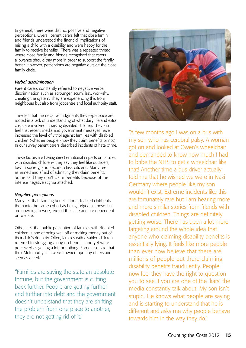In general, there were distinct positive and negative perceptions. Overall parent carers felt that close family and friends understood the financial implications of raising a child with a disability and were happy for the family to receive benefits. There was a repeated thread where close family and friends recognised that carers allowance should pay more in order to support the family better. However, perceptions are negative outside the close family circle.

#### *Verbal discrimination*

Parent carers constantly referred to negative verbal discrimination such as scrounger, scum, lazy, work-shy, cheating the system. They are experiencing this from neighbours but also from jobcentre and local authority staff.

They felt that the negative judgments they experience are rooted in a lack of understanding of what daily life and extra costs are involved in raising disabled children. They also feel that recent media and government messages have increased the level of vitriol against families with disabled children (whether people know they claim benefits or not). In our survey parent carers described incidents of hate crime.

These factors are having direct emotional impacts on families with disabled children– they say they feel like outsiders, low in society, and second class citizens. Many feel ashamed and afraid of admitting they claim benefits. Some said they don't claim benefits because of the intense negative stigma attached.

#### *Negative perceptions*

Many felt that claiming benefits for a disabled child puts them into the same cohort as being judged as those that are unwilling to work, live off the state and are dependent on welfare.

Others felt that public perception of families with disabled children is one of being well off or making money out of their child's disability. Often, families with disabled children referred to struggling along on benefits and yet were perceived as getting a lot for nothing. Some also said that their Motorability cars were frowned upon by others and seen as a perk.

"Families are saving the state an absolute fortune, but the government is cutting back further. People are getting further and further into debt and the government doesn't understand that they are shifting the problem from one place to another, they are not getting rid of it."



"A few months ago I was on a bus with my son who has cerebral palsy. A woman got on and looked at Owen's wheelchair and demanded to know how much I had to bribe the NHS to get a wheelchair like that! Another time a bus driver actually told me that he wished we were in Nazi Germany where people like my son wouldn't exist. Extreme incidents like this are fortunately rare but I am hearing more and more similar stories from friends with disabled children. Things are definitely getting worse. There has been a lot more targeting around the whole idea that anyone who claiming disability benefits is essentially lying. It feels like more people than ever now believe that there are millions of people out there claiming disability benefits fraudulently. People now feel they have the right to question you to see if you are one of the 'liars' the media constantly talk about. My son isn't stupid. He knows what people are saying and is starting to understand that he is different and asks me why people behave towards him in the way they do."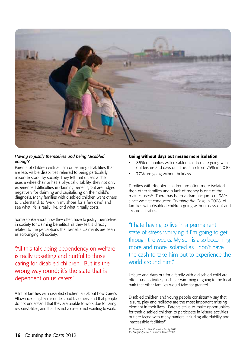

#### *Having to justify themselves and being 'disabled enough'*

Parents of children with autism or learning disabilities that are less visible disabilities referred to being particularly misunderstood by society. They felt that unless a child uses a wheelchair or has a physical disability, they not only experienced difficulties in claiming benefits, but are judged negatively for claiming and capitalising on their child's diagnosis. Many families with disabled children want others to understand, to "walk in my shoes for a few days" and see what life is really like, and what it really costs.

Some spoke about how they often have to justify themselves in society for claiming benefits.This they felt is directly related to the perceptions that benefits claimants are seen as scrounging off society.

"All this talk being dependency on welfare is really upsetting and hurtful to those caring for disabled children. But it's the wrong way round; it's the state that is dependent on us carers."

A lot of families with disabled chidlren talk about how Carer's Allowance is highly misunderstood by others, and that people do not understand that they are unable to work due to caring responsibilities, and that it is not a case of not wanting to work.

#### Going without days out means more isolation

- 86% of families with disabled children are going without leisure and days out. This is up from 75% in 2010.
- 77% are going without holidays.

Families with disabled children are often more isolated then other families and a lack of money is one of the main causes<sup>12</sup>. There has been a dramatic jump of 38% since we first conducted *Counting the Cost*, in 2008, of families with disabled children going without days out and leisure activities.

"I hate having to live in a permanent state of stress worrying if I'm going to get through the weeks. My son is also becoming more and more isolated as I don't have the cash to take him out to experience the world around him."

Leisure and days out for a family with a disabled child are often basic activities, such as swimming or going to the local park that other families would take for granted.

Disabled children and young people consistently say that leisure, play and holidays are the most important missing element in their lives . Parents strive to make opportunities for their disabled children to participate in leisure activities but are faced with many barriers including affordability and inaccessible facilities<sup>13</sup>.

<sup>12</sup> *Forgotten Families*, Contact a Family 2011 13 *Everybody Here?,* Contact a Family 2002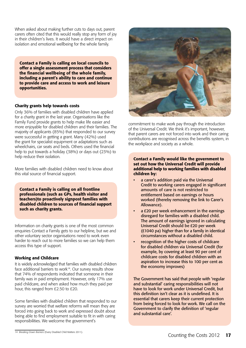When asked about making further cuts to days out, parent carers often cited that this would really stop any form of joy in their children's lives. It would have a direct impact on isolation and emotional wellbeing for the whole family.

Contact a Family is calling on local councils to offer a single assessment process that considers the financial wellbeing of the whole family, including a parent's ability to care and continue to provide care and access to work and leisure opportunities.

#### Charity grants help towards costs

Only 36% of families with disabled children have applied for a charity grant in the last year. Organisations like the Family Fund provide grants to help make life easier and more enjoyable for disabled children and their families. The majority of applicants (85%) that responded to our survey were successful in getting a grant. Many (42%) used the grant for specialist equipment or adaptations such as wheelchairs, car seats and beds. Others used the financial help to put towards a holiday (38%) or days out (23%) to help reduce their isolation.

More families with disabled children need to know about this vital source of financial support.

Contact a Family is calling on all frontline professionals (such as GPs, health visitor and teachers)to proactively signpost families with disabled children to sources of financial support such as charity grants.

Information on charity grants is one of the most common enquiries Contact a Family gets to our helpline, but we and other voluntary sector organisations need to work even harder to reach out to more families so we can help them access this type of support.

#### Working and Childcare

It is widely acknowledged that families with disabled children face additional barriers to work $14$ . Our survey results show that 74% of respondents indicated that someone in their family was in paid employment. However, only 17% use paid childcare, and when asked how much they paid per hour, this ranged from £2.50 to £20.

Some families with disabled children that responded to our survey are worried that welfare reforms will mean they are forced into going back to work and expressed doubt about being able to find employment suitable to fit in with caring responsibilities. We welcome the government's



commitment to make work pay through the introduction of the Universal Credit. We think it's important, however, that parent carers are not forced into work and their caring contributions are recognised across the benefits system, in the workplace and society as a whole.

#### Contact a Family would like the government to set out how the Universal Credit will provide additional help to working families with disabled children by:

- a carer's addition paid via the Universal Credit to working carers engaged in significant amounts of care is not restricted to entitlement based on earnings or hours worked (thereby removing the link to Carer's Allowance).
- a £20 per week enhancement in the earnings disregard for families with a disabled child. The amount of earnings ignored in calculating Universal Credit should be £20 per week (£1040 pa) higher than for a family in identical circumstances without a disabled child.
- recognition of the higher costs of childcare for disabled children via Universal Credit (for example, by covering at least 90 per cent of childcare costs for disabled children with an aspiration to increase this to 100 per cent as the economy improves)

The Government has said that people with 'regular and substantial' caring responsibilities will not have to look for work under Universal Credit, but this definition isn't clear as it is undefined. It is essential that carers keep their current protection from being forced to look for work. We call on the Government to clarify the definition of 'regular and substantial care'.

<sup>14</sup> *Breaking Down Barriers* (Every Disabled Child Matters 2011).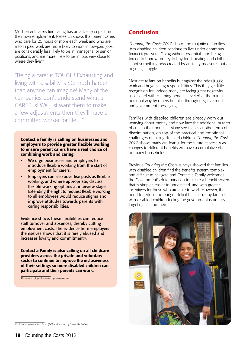Most parent carers find caring has an adverse impact on their own employment. Research shows that parent carers who care for 20 hours or more each week and who are also in paid work are more likely to work in low-paid jobs, are considerably less likely to be in managerial or senior positions, and are more likely to be in jobs very close to where they live<sup>15</sup>.

"Being a carer is TOUGH! Exhausting and living with disability is SO much harder than anyone can imagine! Many of the companies don't understand what a CARER is! We just want them to make a few adjustments then they'll have a committed worker for life…"

Contact a family is calling on businesses and employers to provide greater flexible working to ensure parent carers have a real choice of combining work and caring.

- We urge businesses and employers to introduce flexible working from the start of employment for carers.
- Employers can also advertise posts as flexible working, and where appropriate, discuss flexible working options at interview stage. Extending the right to request flexible working to all employees would reduce stigma and improve attitudes towards parents with caring responsibilities.

Evidence shows these flexibilities can reduce staff turnover and absences, thereby cutting employment costs. The evidence from employers themselves shows that it is rarely abused and increases loyalty and commitment<sup>16</sup>.

Contact a Family is also calling on all childcare providers across the private and voluntary sector to continue to improve the inclusiveness of their settings so more disabled children can participate and their parents can work.

16 www.employersforcarers.org/business-case

# Conclusion

*Counting the Costs 2012* shows the majority of families with disabled children continue to live under enormous financial pressure. Going without essentials and being forced to borrow money to buy food, heating and clothes is not something new created by austerity measures but an ongoing struggle.

Most are reliant on benefits but against the odds juggle work and huge caring responsibilities. This they get little recognition for; indeed many are facing great negativity associated with claiming benefits leveled at them in a personal way by others but also through negative media and government messaging.

Families with disabled children are already worn out worrying about money and now face the additional burden of cuts to their benefits. Many see this as another form of discrimination, on top of the practical and emotional challenges of raising disabled children. *Counting the Cost 2012* shows many are fearful for the future especially as changes to different benefits will have a cumulative effect on many households.

Previous *Counting the Costs* surveys showed that families with disabled children find the benefits system complex and difficult to navigate and Contact a Family welcomes the Government's determination to create a benefit system that is simpler, easier to understand, and with greater incentives for those who are able to work. However, the need to reduce the budget deficit has left many families with disabled children feeling the government is unfairly targeting cuts on them.



<sup>15</sup> *Managing more than Most* (ACE National led by Carers UK 2006)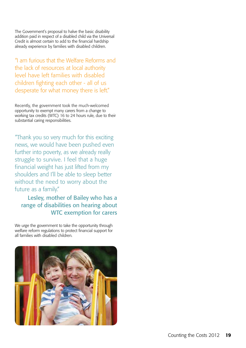The Government's proposal to halve the basic disability addition paid in respect of a disabled child via the Universal Credit is almost certain to add to the financial hardship already experience by families with disabled children.

"I am furious that the Welfare Reforms and the lack of resources at local authority level have left families with disabled children fighting each other - all of us desperate for what money there is left."

Recently, the government took the much-welcomed opportunity to exempt many carers from a change to working tax credits (WTC) 16 to 24 hours rule, due to their substantial caring responsibilities.

"Thank you so very much for this exciting news, we would have been pushed even further into poverty, as we already really struggle to survive. I feel that a huge financial weight has just lifted from my shoulders and I'll be able to sleep better without the need to worry about the future as a family."

Lesley, mother of Bailey who has a range of disabilities on hearing about WTC exemption for carers

We urge the government to take the opportunity through welfare reform regulations to protect financial support for all families with disabled children.